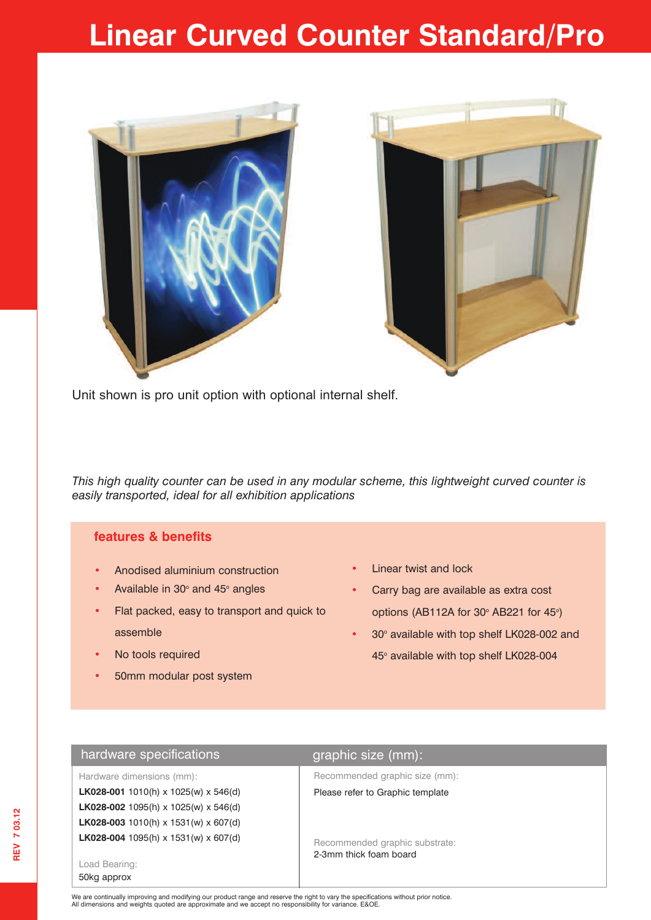# **Linear Curved Counter Standard/Pro**





Unit shown is pro unit option with optional internal shelf.

*This high quality counter can be used in any modular scheme, this lightweight curved counter is easily transported, ideal for all exhibition applications*

# **features & benefits**

- **•** Anodised aluminium construction
- Available in 30° and 45° angles
- **•** Flat packed, easy to transport and quick to assemble
- **•** No tools required
- **•** 50mm modular post system
- **•** Linear twist and lock
- **•** Carry bag are available as extra cost options (AB112A for 30 $\degree$  AB221 for 45 $\degree$ )
- 30° available with top shelf LK028-002 and 45° available with top shelf LK028-004

# hardware specifications **graphic size** (mm):

| Hardware dimensions (mm):            |  |  |  |
|--------------------------------------|--|--|--|
| LK028-001 1010(h) x 1025(w) x 546(d) |  |  |  |
| LK028-002 1095(h) x 1025(w) x 546(d) |  |  |  |
| LK028-003 1010(h) x 1531(w) x 607(d) |  |  |  |
| LK028-004 1095(h) x 1531(w) x 607(d) |  |  |  |

Load Bearing: 50kg approx

Recommended graphic size (mm):

### Please refer to Graphic template

Recommended graphic substrate: 2-3mm thick foam board

We are continually improving and modifying our product range and reserve the right to vary the specifications without prior notice.<br>All dimensions and weights quoted are approximate and we accept no responsibility for vari